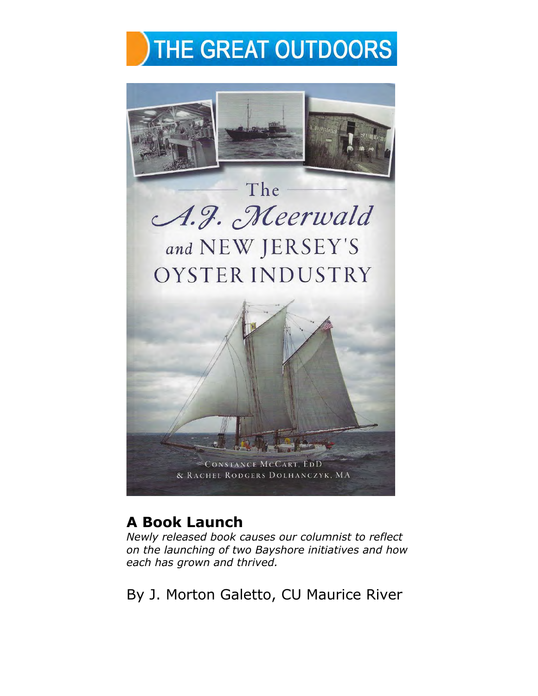



## **A Book Launch**

*Newly released book causes our columnist to reflect on the launching of two Bayshore initiatives and how each has grown and thrived.* 

By J. Morton Galetto, CU Maurice River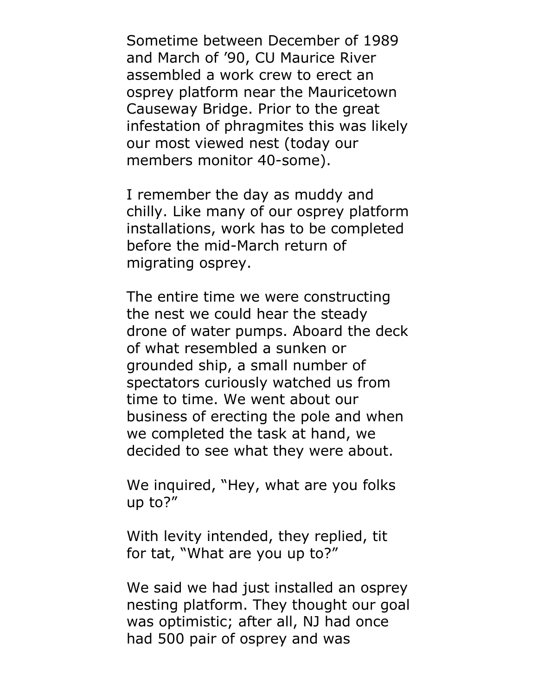Sometime between December of 1989 and March of '90, CU Maurice River assembled a work crew to erect an osprey platform near the Mauricetown Causeway Bridge. Prior to the great infestation of phragmites this was likely our most viewed nest (today our members monitor 40-some).

I remember the day as muddy and chilly. Like many of our osprey platform installations, work has to be completed before the mid-March return of migrating osprey.

The entire time we were constructing the nest we could hear the steady drone of water pumps. Aboard the deck of what resembled a sunken or grounded ship, a small number of spectators curiously watched us from time to time. We went about our business of erecting the pole and when we completed the task at hand, we decided to see what they were about.

We inquired, "Hey, what are you folks up to?"

With levity intended, they replied, tit for tat, "What are you up to?"

We said we had just installed an osprey nesting platform. They thought our goal was optimistic; after all, NJ had once had 500 pair of osprey and was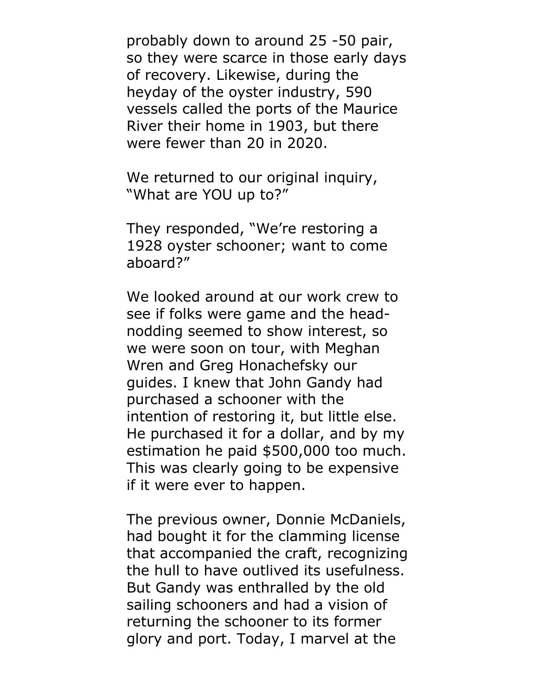probably down to around 25 -50 pair, so they were scarce in those early days of recovery. Likewise, during the heyday of the oyster industry, 590 vessels called the ports of the Maurice River their home in 1903, but there were fewer than 20 in 2020.

We returned to our original inquiry, "What are YOU up to?"

They responded, "We're restoring a 1928 oyster schooner; want to come aboard?"

We looked around at our work crew to see if folks were game and the headnodding seemed to show interest, so we were soon on tour, with Meghan Wren and Greg Honachefsky our guides. I knew that John Gandy had purchased a schooner with the intention of restoring it, but little else. He purchased it for a dollar, and by my estimation he paid \$500,000 too much. This was clearly going to be expensive if it were ever to happen.

The previous owner, Donnie McDaniels, had bought it for the clamming license that accompanied the craft, recognizing the hull to have outlived its usefulness. But Gandy was enthralled by the old sailing schooners and had a vision of returning the schooner to its former glory and port. Today, I marvel at the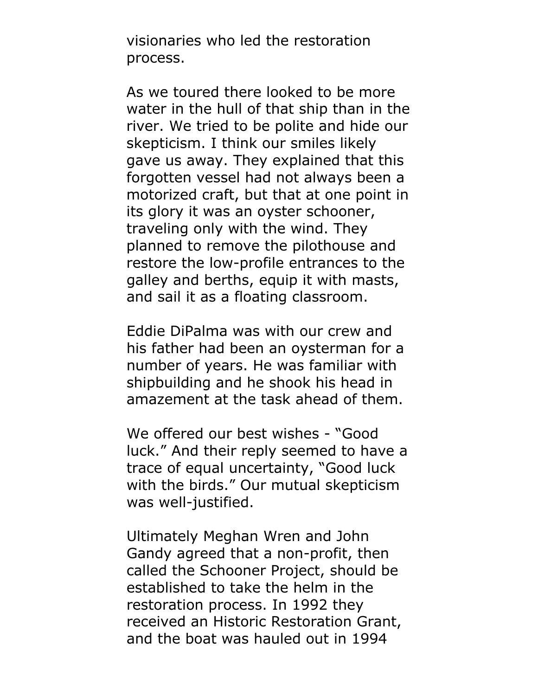visionaries who led the restoration process.

As we toured there looked to be more water in the hull of that ship than in the river. We tried to be polite and hide our skepticism. I think our smiles likely gave us away. They explained that this forgotten vessel had not always been a motorized craft, but that at one point in its glory it was an oyster schooner, traveling only with the wind. They planned to remove the pilothouse and restore the low-profile entrances to the galley and berths, equip it with masts, and sail it as a floating classroom.

Eddie DiPalma was with our crew and his father had been an oysterman for a number of years. He was familiar with shipbuilding and he shook his head in amazement at the task ahead of them.

We offered our best wishes - "Good luck." And their reply seemed to have a trace of equal uncertainty, "Good luck with the birds." Our mutual skepticism was well-justified.

Ultimately Meghan Wren and John Gandy agreed that a non-profit, then called the Schooner Project, should be established to take the helm in the restoration process. In 1992 they received an Historic Restoration Grant, and the boat was hauled out in 1994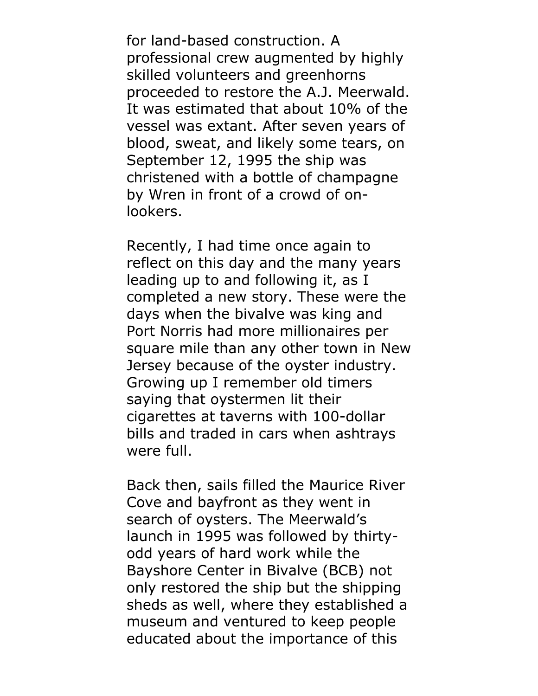for land-based construction. A professional crew augmented by highly skilled volunteers and greenhorns proceeded to restore the A.J. Meerwald. It was estimated that about 10% of the vessel was extant. After seven years of blood, sweat, and likely some tears, on September 12, 1995 the ship was christened with a bottle of champagne by Wren in front of a crowd of onlookers.

Recently, I had time once again to reflect on this day and the many years leading up to and following it, as I completed a new story. These were the days when the bivalve was king and Port Norris had more millionaires per square mile than any other town in New Jersey because of the oyster industry. Growing up I remember old timers saying that oystermen lit their cigarettes at taverns with 100-dollar bills and traded in cars when ashtrays were full.

Back then, sails filled the Maurice River Cove and bayfront as they went in search of oysters. The Meerwald's launch in 1995 was followed by thirtyodd years of hard work while the Bayshore Center in Bivalve (BCB) not only restored the ship but the shipping sheds as well, where they established a museum and ventured to keep people educated about the importance of this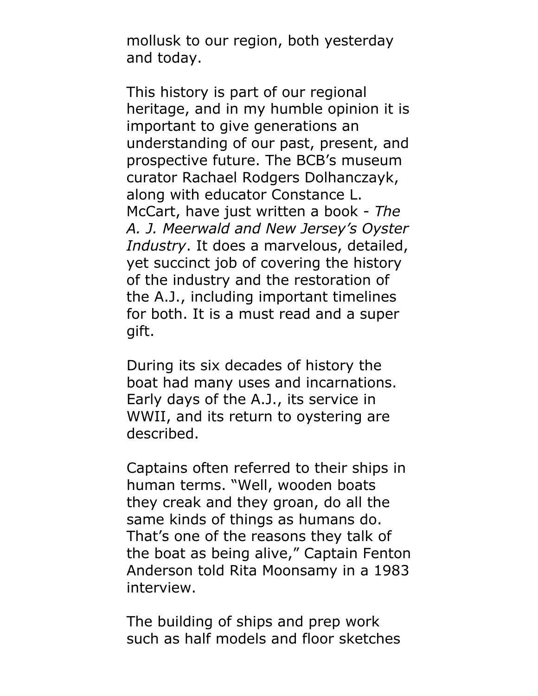mollusk to our region, both yesterday and today.

This history is part of our regional heritage, and in my humble opinion it is important to give generations an understanding of our past, present, and prospective future. The BCB's museum curator Rachael Rodgers Dolhanczayk, along with educator Constance L. McCart, have just written a book - *The A. J. Meerwald and New Jersey's Oyster Industry*. It does a marvelous, detailed, yet succinct job of covering the history of the industry and the restoration of the A.J., including important timelines for both. It is a must read and a super gift.

During its six decades of history the boat had many uses and incarnations. Early days of the A.J., its service in WWII, and its return to oystering are described.

Captains often referred to their ships in human terms. "Well, wooden boats they creak and they groan, do all the same kinds of things as humans do. That's one of the reasons they talk of the boat as being alive," Captain Fenton Anderson told Rita Moonsamy in a 1983 interview.

The building of ships and prep work such as half models and floor sketches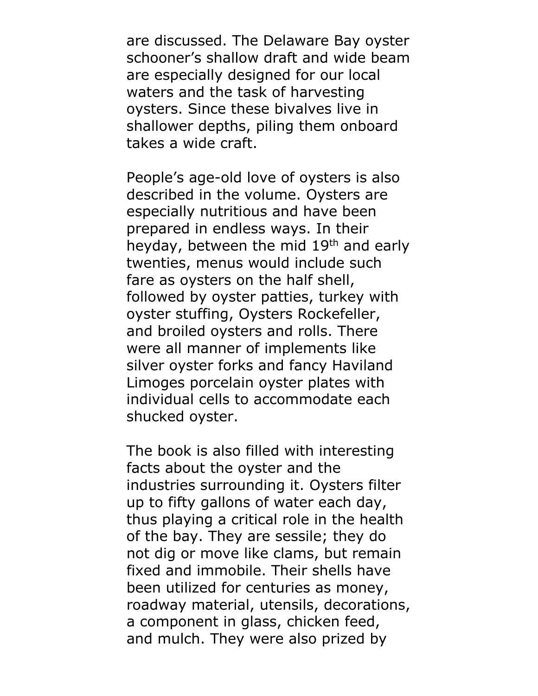are discussed. The Delaware Bay oyster schooner's shallow draft and wide beam are especially designed for our local waters and the task of harvesting oysters. Since these bivalves live in shallower depths, piling them onboard takes a wide craft.

People's age-old love of oysters is also described in the volume. Oysters are especially nutritious and have been prepared in endless ways. In their heyday, between the mid 19<sup>th</sup> and early twenties, menus would include such fare as oysters on the half shell, followed by oyster patties, turkey with oyster stuffing, Oysters Rockefeller, and broiled oysters and rolls. There were all manner of implements like silver oyster forks and fancy Haviland Limoges porcelain oyster plates with individual cells to accommodate each shucked oyster.

The book is also filled with interesting facts about the oyster and the industries surrounding it. Oysters filter up to fifty gallons of water each day, thus playing a critical role in the health of the bay. They are sessile; they do not dig or move like clams, but remain fixed and immobile. Their shells have been utilized for centuries as money, roadway material, utensils, decorations, a component in glass, chicken feed, and mulch. They were also prized by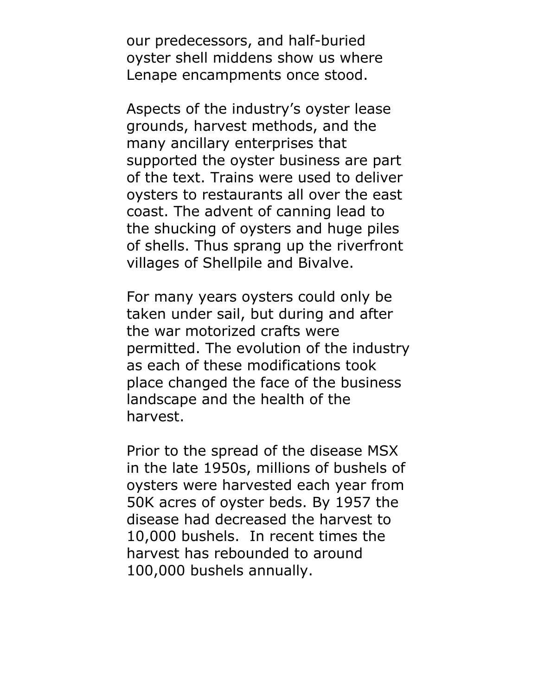our predecessors, and half-buried oyster shell middens show us where Lenape encampments once stood.

Aspects of the industry's oyster lease grounds, harvest methods, and the many ancillary enterprises that supported the oyster business are part of the text. Trains were used to deliver oysters to restaurants all over the east coast. The advent of canning lead to the shucking of oysters and huge piles of shells. Thus sprang up the riverfront villages of Shellpile and Bivalve.

For many years oysters could only be taken under sail, but during and after the war motorized crafts were permitted. The evolution of the industry as each of these modifications took place changed the face of the business landscape and the health of the harvest.

Prior to the spread of the disease MSX in the late 1950s, millions of bushels of oysters were harvested each year from 50K acres of oyster beds. By 1957 the disease had decreased the harvest to 10,000 bushels. In recent times the harvest has rebounded to around 100,000 bushels annually.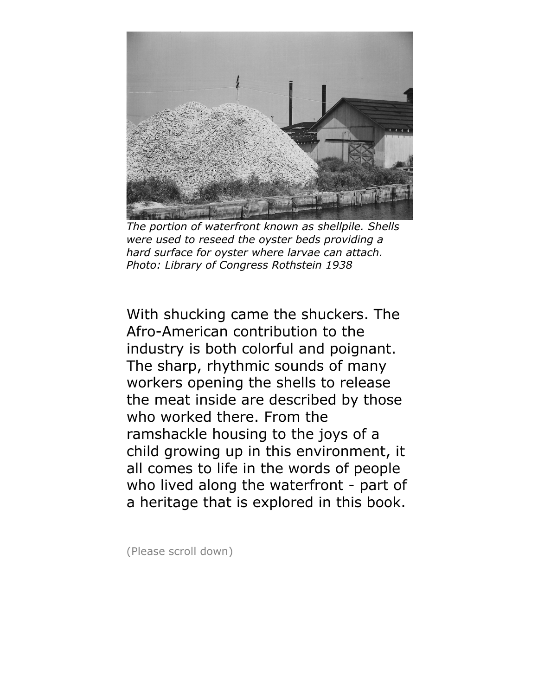

*The portion of waterfront known as shellpile. Shells were used to reseed the oyster beds providing a hard surface for oyster where larvae can attach. Photo: Library of Congress Rothstein 1938*

With shucking came the shuckers. The Afro-American contribution to the industry is both colorful and poignant. The sharp, rhythmic sounds of many workers opening the shells to release the meat inside are described by those who worked there. From the ramshackle housing to the joys of a child growing up in this environment, it all comes to life in the words of people who lived along the waterfront - part of a heritage that is explored in this book.

(Please scroll down)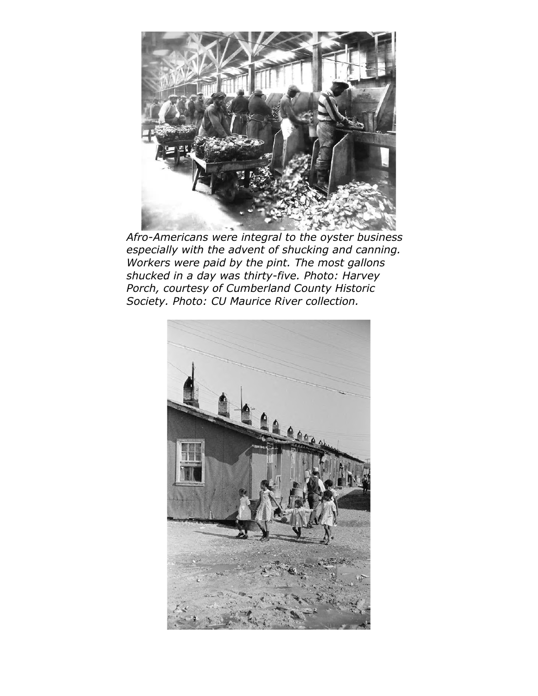

*Afro-Americans were integral to the oyster business especially with the advent of shucking and canning. Workers were paid by the pint. The most gallons shucked in a day was thirty-five. Photo: Harvey Porch, courtesy of Cumberland County Historic Society. Photo: CU Maurice River collection.* 

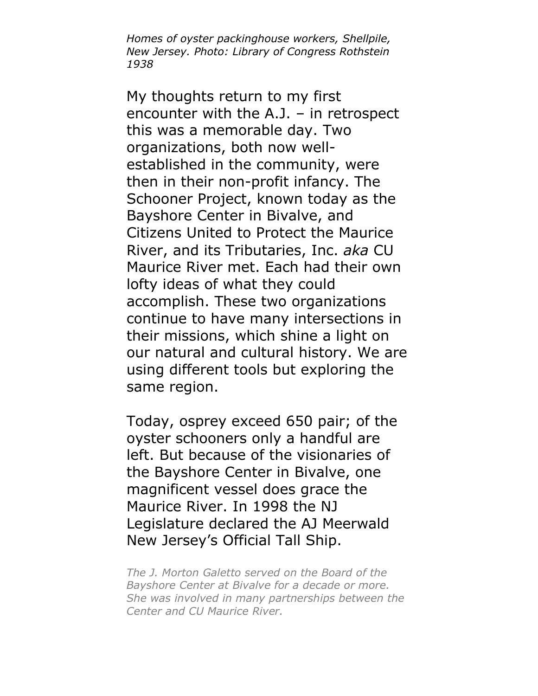*Homes of oyster packinghouse workers, Shellpile, New Jersey. Photo: Library of Congress Rothstein 1938*

My thoughts return to my first encounter with the A.J. – in retrospect this was a memorable day. Two organizations, both now wellestablished in the community, were then in their non-profit infancy. The Schooner Project, known today as the Bayshore Center in Bivalve, and Citizens United to Protect the Maurice River, and its Tributaries, Inc. *aka* CU Maurice River met. Each had their own lofty ideas of what they could accomplish. These two organizations continue to have many intersections in their missions, which shine a light on our natural and cultural history. We are using different tools but exploring the same region.

Today, osprey exceed 650 pair; of the oyster schooners only a handful are left. But because of the visionaries of the Bayshore Center in Bivalve, one magnificent vessel does grace the Maurice River. In 1998 the NJ Legislature declared the AJ Meerwald New Jersey's Official Tall Ship.

*The J. Morton Galetto served on the Board of the Bayshore Center at Bivalve for a decade or more. She was involved in many partnerships between the Center and CU Maurice River.*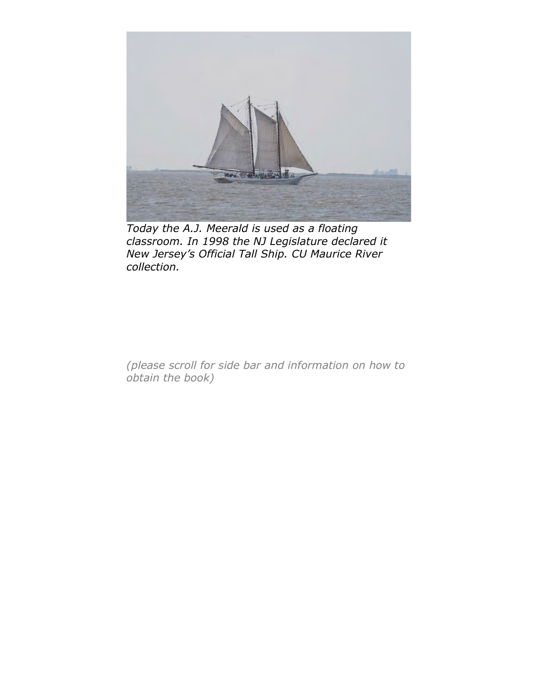

*Today the A.J. Meerald is used as a floating classroom. In 1998 the NJ Legislature declared it New Jersey's Official Tall Ship. CU Maurice River collection.* 

*(please scroll for side bar and information on how to obtain the book)*